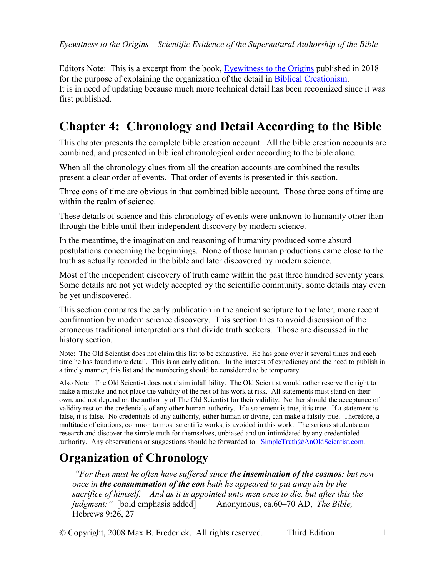Editors Note: This is a excerpt from the book, Eyewitness to the Origins published in 2018 for the purpose of explaining the organization of the detail in Biblical Creationism. It is in need of updating because much more technical detail has been recognized since it was first published.

# **Chapter 4: Chronology and Detail According to the Bible**

This chapter presents the complete bible creation account. All the bible creation accounts are combined, and presented in biblical chronological order according to the bible alone.

When all the chronology clues from all the creation accounts are combined the results present a clear order of events. That order of events is presented in this section.

Three eons of time are obvious in that combined bible account. Those three eons of time are within the realm of science.

These details of science and this chronology of events were unknown to humanity other than through the bible until their independent discovery by modern science.

In the meantime, the imagination and reasoning of humanity produced some absurd postulations concerning the beginnings. None of those human productions came close to the truth as actually recorded in the bible and later discovered by modern science.

Most of the independent discovery of truth came within the past three hundred seventy years. Some details are not yet widely accepted by the scientific community, some details may even be yet undiscovered.

This section compares the early publication in the ancient scripture to the later, more recent confirmation by modern science discovery. This section tries to avoid discussion of the erroneous traditional interpretations that divide truth seekers. Those are discussed in the history section.

Note: The Old Scientist does not claim this list to be exhaustive. He has gone over it several times and each time he has found more detail. This is an early edition. In the interest of expediency and the need to publish in a timely manner, this list and the numbering should be considered to be temporary.

Also Note: The Old Scientist does not claim infallibility. The Old Scientist would rather reserve the right to make a mistake and not place the validity of the rest of his work at risk. All statements must stand on their own, and not depend on the authority of The Old Scientist for their validity. Neither should the acceptance of validity rest on the credentials of any other human authority. If a statement is true, it is true. If a statement is false, it is false. No credentials of any authority, either human or divine, can make a falsity true. Therefore, a multitude of citations, common to most scientific works, is avoided in this work. The serious students can research and discover the simple truth for themselves, unbiased and un-intimidated by any credentialed authority. Any observations or suggestions should be forwarded to:  $\frac{\text{SimpleTruth@AnOldScientist.com}}{\text{SimpleTruth@AnOldScientist.com}}$ .

## **Organization of Chronology**

 *"For then must he often have suffered since the insemination of the cosmos: but now once in the consummation of the eon hath he appeared to put away sin by the sacrifice of himself. And as it is appointed unto men once to die, but after this the judgment:"* [bold emphasis added] Anonymous, ca.60–70 AD, *The Bible,*  Hebrews 9:26, 27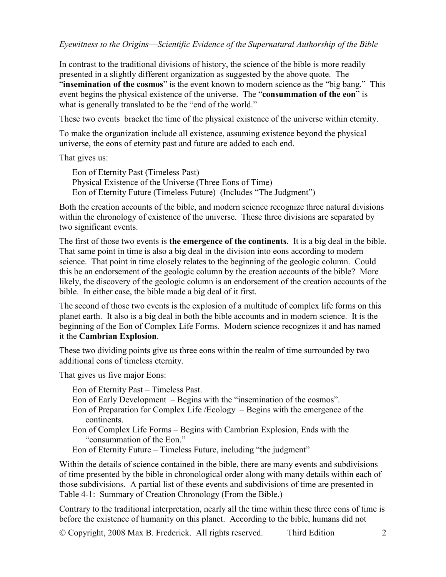In contrast to the traditional divisions of history, the science of the bible is more readily presented in a slightly different organization as suggested by the above quote. The "**insemination of the cosmos**" is the event known to modern science as the "big bang." This event begins the physical existence of the universe. The "**consummation of the eon**" is what is generally translated to be the "end of the world."

These two events bracket the time of the physical existence of the universe within eternity.

To make the organization include all existence, assuming existence beyond the physical universe, the eons of eternity past and future are added to each end.

That gives us:

Eon of Eternity Past (Timeless Past) Physical Existence of the Universe (Three Eons of Time) Eon of Eternity Future (Timeless Future) (Includes "The Judgment")

Both the creation accounts of the bible, and modern science recognize three natural divisions within the chronology of existence of the universe. These three divisions are separated by two significant events.

The first of those two events is **the emergence of the continents**. It is a big deal in the bible. That same point in time is also a big deal in the division into eons according to modern science. That point in time closely relates to the beginning of the geologic column. Could this be an endorsement of the geologic column by the creation accounts of the bible? More likely, the discovery of the geologic column is an endorsement of the creation accounts of the bible. In either case, the bible made a big deal of it first.

The second of those two events is the explosion of a multitude of complex life forms on this planet earth. It also is a big deal in both the bible accounts and in modern science. It is the beginning of the Eon of Complex Life Forms. Modern science recognizes it and has named it the **Cambrian Explosion**.

These two dividing points give us three eons within the realm of time surrounded by two additional eons of timeless eternity.

That gives us five major Eons:

Eon of Eternity Past – Timeless Past.

- Eon of Early Development Begins with the "insemination of the cosmos".
- Eon of Preparation for Complex Life /Ecology Begins with the emergence of the continents.
- Eon of Complex Life Forms Begins with Cambrian Explosion, Ends with the "consummation of the Eon."
- Eon of Eternity Future Timeless Future, including "the judgment"

Within the details of science contained in the bible, there are many events and subdivisions of time presented by the bible in chronological order along with many details within each of those subdivisions. A partial list of these events and subdivisions of time are presented in Table 4-1: Summary of Creation Chronology (From the Bible.)

Contrary to the traditional interpretation, nearly all the time within these three eons of time is before the existence of humanity on this planet. According to the bible, humans did not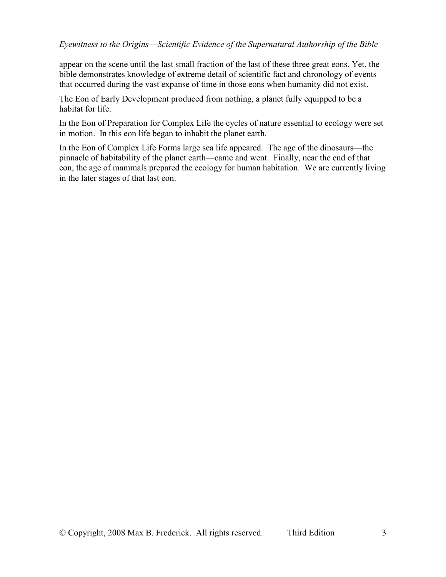appear on the scene until the last small fraction of the last of these three great eons. Yet, the bible demonstrates knowledge of extreme detail of scientific fact and chronology of events that occurred during the vast expanse of time in those eons when humanity did not exist.

The Eon of Early Development produced from nothing, a planet fully equipped to be a habitat for life.

In the Eon of Preparation for Complex Life the cycles of nature essential to ecology were set in motion. In this eon life began to inhabit the planet earth.

In the Eon of Complex Life Forms large sea life appeared. The age of the dinosaurs––the pinnacle of habitability of the planet earth––came and went. Finally, near the end of that eon, the age of mammals prepared the ecology for human habitation. We are currently living in the later stages of that last eon.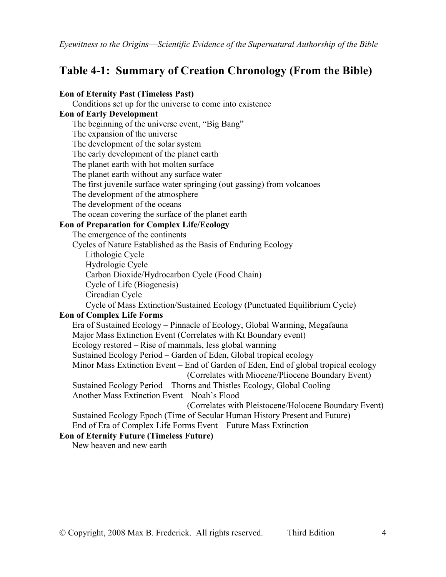### **Table 4-1: Summary of Creation Chronology (From the Bible)**

### **Eon of Eternity Past (Timeless Past)**

 Conditions set up for the universe to come into existence **Eon of Early Development**  The beginning of the universe event, "Big Bang" The expansion of the universe The development of the solar system The early development of the planet earth The planet earth with hot molten surface The planet earth without any surface water The first juvenile surface water springing (out gassing) from volcanoes The development of the atmosphere The development of the oceans The ocean covering the surface of the planet earth **Eon of Preparation for Complex Life/Ecology**  The emergence of the continents Cycles of Nature Established as the Basis of Enduring Ecology Lithologic Cycle Hydrologic Cycle Carbon Dioxide/Hydrocarbon Cycle (Food Chain) Cycle of Life (Biogenesis) Circadian Cycle Cycle of Mass Extinction/Sustained Ecology (Punctuated Equilibrium Cycle) **Eon of Complex Life Forms**  Era of Sustained Ecology – Pinnacle of Ecology, Global Warming, Megafauna Major Mass Extinction Event (Correlates with Kt Boundary event) Ecology restored – Rise of mammals, less global warming Sustained Ecology Period – Garden of Eden, Global tropical ecology Minor Mass Extinction Event – End of Garden of Eden, End of global tropical ecology (Correlates with Miocene/Pliocene Boundary Event) Sustained Ecology Period – Thorns and Thistles Ecology, Global Cooling Another Mass Extinction Event – Noah's Flood (Correlates with Pleistocene/Holocene Boundary Event) Sustained Ecology Epoch (Time of Secular Human History Present and Future) End of Era of Complex Life Forms Event – Future Mass Extinction **Eon of Eternity Future (Timeless Future)** 

New heaven and new earth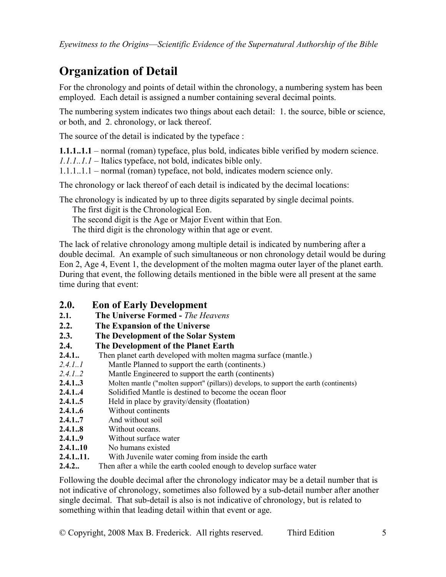# **Organization of Detail**

For the chronology and points of detail within the chronology, a numbering system has been employed. Each detail is assigned a number containing several decimal points.

The numbering system indicates two things about each detail: 1. the source, bible or science, or both, and 2. chronology, or lack thereof.

The source of the detail is indicated by the typeface :

**1.1.1..1.1** – normal (roman) typeface, plus bold, indicates bible verified by modern science. *1.1.1..1.1* – Italics typeface, not bold, indicates bible only.

1.1.1..1.1 – normal (roman) typeface, not bold, indicates modern science only.

The chronology or lack thereof of each detail is indicated by the decimal locations:

The chronology is indicated by up to three digits separated by single decimal points.

The first digit is the Chronological Eon.

The second digit is the Age or Major Event within that Eon.

The third digit is the chronology within that age or event.

The lack of relative chronology among multiple detail is indicated by numbering after a double decimal. An example of such simultaneous or non chronology detail would be during Eon 2, Age 4, Event 1, the development of the molten magma outer layer of the planet earth. During that event, the following details mentioned in the bible were all present at the same time during that event:

- **2.0. Eon of Early Development**
- **2.1. The Universe Formed** *The Heavens*
- **2.2. The Expansion of the Universe**
- **2.3. The Development of the Solar System**

### **2.4. The Development of the Planet Earth**

- **2.4.1..** Then planet earth developed with molten magma surface (mantle.)
- *2.4.1..1*Mantle Planned to support the earth (continents.)
- *2.4.1..2*Mantle Engineered to support the earth (continents)
- **2.4.1..3** Molten mantle ("molten support" (pillars)) develops, to support the earth (continents)
- **2.4.1..4** Solidified Mantle is destined to become the ocean floor
- **2.4.1..5** Held in place by gravity/density (floatation)
- **2.4.1..6** Without continents
- **2.4.1..7** And without soil
- **2.4.1..8** Without oceans.
- **2.4.1..9** Without surface water
- **2.4.1..10** No humans existed
- **2.4.1..11.** With Juvenile water coming from inside the earth
- **2.4.2..** Then after a while the earth cooled enough to develop surface water

Following the double decimal after the chronology indicator may be a detail number that is not indicative of chronology, sometimes also followed by a sub-detail number after another single decimal. That sub-detail is also is not indicative of chronology, but is related to something within that leading detail within that event or age.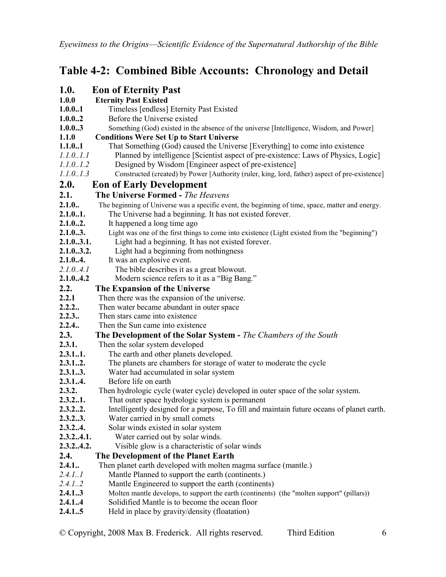## **Table 4-2: Combined Bible Accounts: Chronology and Detail**

| <b>1.0.</b> | <b>Eon of Eternity Past</b>                                                                      |
|-------------|--------------------------------------------------------------------------------------------------|
| 1.0.0       | <b>Eternity Past Existed</b>                                                                     |
| 1.0.0.1     | Timeless [endless] Eternity Past Existed                                                         |
| 1.0.02      | Before the Universe existed                                                                      |
| 1.0.03      | Something (God) existed in the absence of the universe [Intelligence, Wisdom, and Power]         |
| 1.1.0       | <b>Conditions Were Set Up to Start Universe</b>                                                  |
| 1.1.0.1     | That Something (God) caused the Universe [Everything] to come into existence                     |
| 1.1.0.1.1   | Planned by intelligence [Scientist aspect of pre-existence: Laws of Physics, Logic]              |
| 1.1.0.1.2   | Designed by Wisdom [Engineer aspect of pre-existence]                                            |
| 1.1.0.1.3   | Constructed (created) by Power [Authority (ruler, king, lord, father) aspect of pre-existence]   |
| 2.0.        | <b>Eon of Early Development</b>                                                                  |
| 2.1.        | The Universe Formed - The Heavens                                                                |
| 2.1.0.      | The beginning of Universe was a specific event, the beginning of time, space, matter and energy. |
| 2.1.0.1.    | The Universe had a beginning. It has not existed forever.                                        |
| 2.1.02.     | It happened a long time ago                                                                      |
| 2.1.03.     | Light was one of the first things to come into existence (Light existed from the "beginning")    |
| 2.1.03.1.   | Light had a beginning. It has not existed forever.                                               |
| 2.1.03.2.   | Light had a beginning from nothingness                                                           |
| 2.1.0.4.    | It was an explosive event.                                                                       |
| 2.1.0.4.1   | The bible describes it as a great blowout.                                                       |
| 2.1.04.2    | Modern science refers to it as a "Big Bang."                                                     |
| 2.2.        | The Expansion of the Universe                                                                    |
| 2.2.1       | Then there was the expansion of the universe.                                                    |
| 2.2.2       | Then water became abundant in outer space                                                        |
| 2.2.3.      | Then stars came into existence                                                                   |
| 2.2.4.      | Then the Sun came into existence                                                                 |
| 2.3.        | The Development of the Solar System - The Chambers of the South                                  |
| 2.3.1.      | Then the solar system developed                                                                  |
| 2.3.11.     | The earth and other planets developed.                                                           |
| 2.3.12.     | The planets are chambers for storage of water to moderate the cycle                              |
| 2.3.13.     | Water had accumulated in solar system                                                            |
| 2.3.14.     | Before life on earth                                                                             |
| 2.3.2.      | Then hydrologic cycle (water cycle) developed in outer space of the solar system.                |
| 2.3.2.1.    | That outer space hydrologic system is permanent                                                  |
| 2.3.22      | Intelligently designed for a purpose, To fill and maintain future oceans of planet earth.        |
| 2.3.23.     | Water carried in by small comets                                                                 |
| 2.3.24.     | Solar winds existed in solar system                                                              |
| 2.3.24.1.   | Water carried out by solar winds.                                                                |
| 2.3.24.2.   | Visible glow is a characteristic of solar winds                                                  |
| 2.4.        | The Development of the Planet Earth                                                              |
| 2.4.1.      | Then planet earth developed with molten magma surface (mantle.)                                  |
| 2.4.1.1     | Mantle Planned to support the earth (continents.)                                                |
| 2.4.1.2     | Mantle Engineered to support the earth (continents)                                              |
| 2.4.13      | Molten mantle develops, to support the earth (continents) (the "molten support" (pillars))       |
| 2.4.14      | Solidified Mantle is to become the ocean floor                                                   |
| 2.4.15      | Held in place by gravity/density (floatation)                                                    |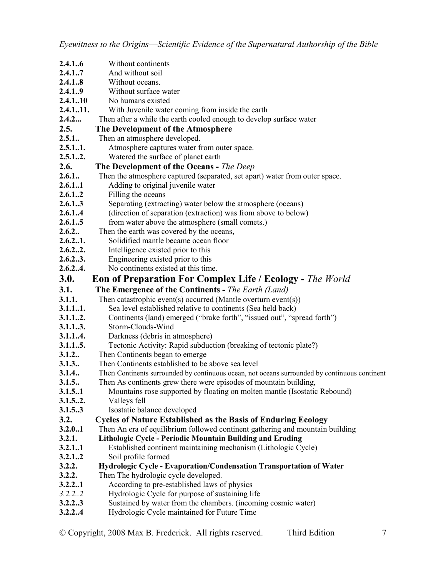- **2.4.1..6** Without continents **2.4.1..7** And without soil **2.4.1..8** Without oceans. **2.4.1..9** Without surface water **2.4.1..10** No humans existed **2.4.1..11.** With Juvenile water coming from inside the earth **2.4.2...** Then after a while the earth cooled enough to develop surface water **2.5. The Development of the Atmosphere**  2.5.1.. Then an atmosphere developed. **2.5.1..1.** Atmosphere captures water from outer space. **2.5.1..2.** Watered the surface of planet earth **2.6. The Development of the Oceans -** *The Deep* **2.6.1..** Then the atmosphere captured (separated, set apart) water from outer space. **2.6.1..1** • Adding to original juvenile water **2.6.1..2** Filling the oceans **2.6.1..3** Separating (extracting) water below the atmosphere (oceans) **2.6.1..4** (direction of separation (extraction) was from above to below)<br>**2.6.1..5** from water above the atmosphere (small comets.) from water above the atmosphere (small comets.) **2.6.2..** Then the earth was covered by the oceans, **2.6.2..1.** Solidified mantle became ocean floor **2.6.2..2.** Intelligence existed prior to this **2.6.2..3.** Engineering existed prior to this **2.6.2..4.** No continents existed at this time. **3.0.** Eon of Preparation For Complex Life / Ecology - *The World* **3.1. The Emergence of the Continents -** *The Earth (Land)*  **3.1.1.** Then catastrophic event(s) occurred (Mantle overturn event(s))<br>**3.1.1..1.** Sea level established relative to continents (Sea held back) Sea level established relative to continents (Sea held back) **3.1.1..2.** Continents (land) emerged ("brake forth", "issued out", "spread forth") **3.1.1..3.** Storm-Clouds-Wind **3.1.1..4.** Darkness (debris in atmosphere) **3.1.1..5.** Tectonic Activity: Rapid subduction (breaking of tectonic plate?) **3.1.2..** Then Continents began to emerge **3.1.3..** Then Continents established to be above sea level **3.1.4..** Then Continents surrounded by continuous ocean, not oceans surrounded by continuous continent **3.1.5..** Then As continents grew there were episodes of mountain building, **3.1.5..1** •• Mountains rose supported by floating on molten mantle (Isostatic Rebound) **3.1.5..2.** Valleys fell **3.1.5..3** Isostatic balance developed **3.2. Cycles of Nature Established as the Basis of Enduring Ecology 3.2.0..1** Then An era of equilibrium followed continent gathering and mountain building **3.2.1. Lithologic Cycle - Periodic Mountain Building and Eroding 3.2.1..1** Established continent maintaining mechanism (Lithologic Cycle) **3.2.1..2** Soil profile formed **3.2.2. Hydrologic Cycle - Evaporation/Condensation Transportation of Water 3.2.2.** Then The hydrologic cycle developed. **3.2.2..1** According to pre-established laws of physics *3.2.2..2*Hydrologic Cycle for purpose of sustaining life **3.2.2..3** Sustained by water from the chambers. (incoming cosmic water)
- **3.2.2..4** Hydrologic Cycle maintained for Future Time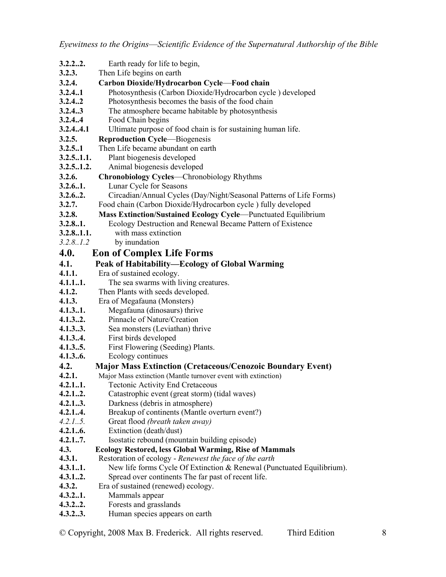- **3.2.2..2.** Earth ready for life to begin,
- **3.2.3.** Then Life begins on earth
- **3.2.4. Carbon Dioxide/Hydrocarbon Cycle**—**Food chain**
- **3.2.4..1** Photosynthesis (Carbon Dioxide/Hydrocarbon cycle ) developed
- **3.2.4..2** Photosynthesis becomes the basis of the food chain
- **3.2.4..3** The atmosphere became habitable by photosynthesis
- **3.2.4..4** Food Chain begins
- **3.2.4..4.1** Ultimate purpose of food chain is for sustaining human life.
- **3.2.5. Reproduction Cycle**—Biogenesis
- **3.2.5..1** Then Life became abundant on earth
- **3.2.5..1.1.** Plant biogenesis developed
- **3.2.5..1.2.** Animal biogenesis developed
- **3.2.6. Chronobiology Cycles**—Chronobiology Rhythms
- **3.2.6..1.** Lunar Cycle for Seasons
- **3.2.6..2.** Circadian/Annual Cycles (Day/Night/Seasonal Patterns of Life Forms)
- **3.2.7.** Food chain (Carbon Dioxide/Hydrocarbon cycle ) fully developed
- **3.2.8. Mass Extinction/Sustained Ecology Cycle**—Punctuated Equilibrium
- **3.2.8..1.** Ecology Destruction and Renewal Became Pattern of Existence
- **3.2.8..1.1.** with mass extinction
- *3.2.8..1.2*by inundation
- **4.0. Eon of Complex Life Forms**
- **4.1. Peak of Habitability—Ecology of Global Warming**
- **4.1.1.** Era of sustained ecology.
- **4.1.1..1.** The sea swarms with living creatures.
- **4.1.2.** Then Plants with seeds developed.
- **4.1.3.** Era of Megafauna (Monsters)
- **4.1.3..1.** Megafauna (dinosaurs) thrive
- **4.1.3..2.** Pinnacle of Nature/Creation
- **4.1.3..3.** Sea monsters (Leviathan) thrive
- **4.1.3..4.** First birds developed
- **4.1.3..5.** First Flowering (Seeding) Plants.
- **4.1.3..6.** Ecology continues

### **4.2. Major Mass Extinction (Cretaceous/Cenozoic Boundary Event)**

- **4.2.1.** Major Mass extinction (Mantle turnover event with extinction)
- **4.2.1..1.** Tectonic Activity End Cretaceous
- **4.2.1..2.** Catastrophic event (great storm) (tidal waves)
- **4.2.1..3.** Darkness (debris in atmosphere)
- **4.2.1..4.** Breakup of continents (Mantle overturn event?)
- *4.2.1..5.* Great flood *(breath taken away)*
- **4.2.1..6.** Extinction (death/dust)
- **4.2.1..7.** Isostatic rebound (mountain building episode)
- **4.3. Ecology Restored, less Global Warming, Rise of Mammals**
- **4.3.1.** Restoration of ecology *Renewest the face of the earth*
- **4.3.1..1.** New life forms Cycle Of Extinction & Renewal (Punctuated Equilibrium).
- **4.3.1..2.** Spread over continents The far past of recent life.
- **4.3.2.** Era of sustained (renewed) ecology.
- **4.3.2..1.** Mammals appear
- **4.3.2..2.** Forests and grasslands
- **4.3.2..3.** Human species appears on earth